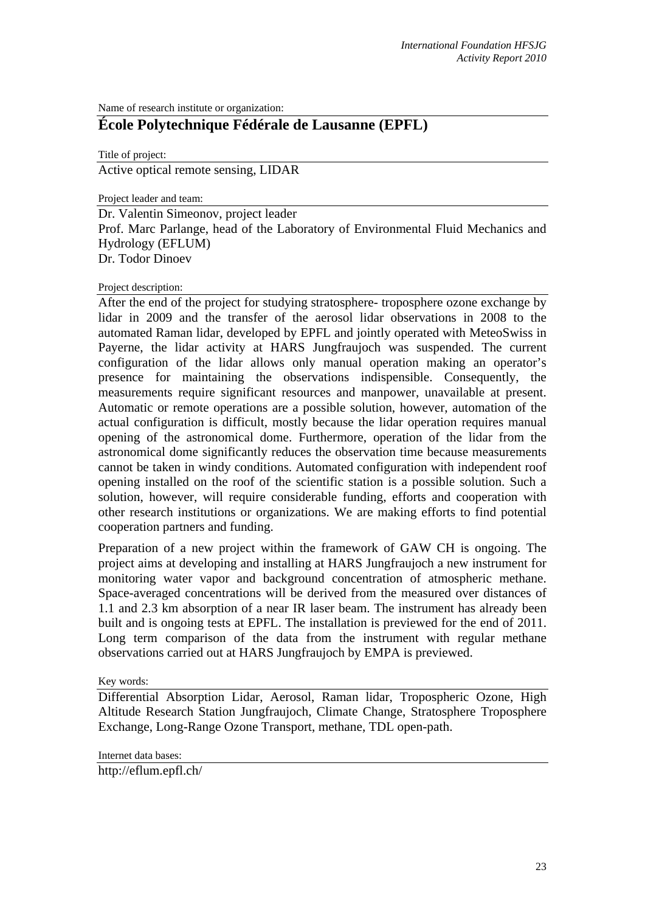Name of research institute or organization:

## **École Polytechnique Fédérale de Lausanne (EPFL)**

Title of project:

Active optical remote sensing, LIDAR

Project leader and team:

Dr. Valentin Simeonov, project leader Prof. Marc Parlange, head of the Laboratory of Environmental Fluid Mechanics and Hydrology (EFLUM) Dr. Todor Dinoev

## Project description:

After the end of the project for studying stratosphere- troposphere ozone exchange by lidar in 2009 and the transfer of the aerosol lidar observations in 2008 to the automated Raman lidar, developed by EPFL and jointly operated with MeteoSwiss in Payerne, the lidar activity at HARS Jungfraujoch was suspended. The current configuration of the lidar allows only manual operation making an operator's presence for maintaining the observations indispensible. Consequently, the measurements require significant resources and manpower, unavailable at present. Automatic or remote operations are a possible solution, however, automation of the actual configuration is difficult, mostly because the lidar operation requires manual opening of the astronomical dome. Furthermore, operation of the lidar from the astronomical dome significantly reduces the observation time because measurements cannot be taken in windy conditions. Automated configuration with independent roof opening installed on the roof of the scientific station is a possible solution. Such a solution, however, will require considerable funding, efforts and cooperation with other research institutions or organizations. We are making efforts to find potential cooperation partners and funding.

Preparation of a new project within the framework of GAW CH is ongoing. The project aims at developing and installing at HARS Jungfraujoch a new instrument for monitoring water vapor and background concentration of atmospheric methane. Space-averaged concentrations will be derived from the measured over distances of 1.1 and 2.3 km absorption of a near IR laser beam. The instrument has already been built and is ongoing tests at EPFL. The installation is previewed for the end of 2011. Long term comparison of the data from the instrument with regular methane observations carried out at HARS Jungfraujoch by EMPA is previewed.

Key words:

Differential Absorption Lidar, Aerosol, Raman lidar, Tropospheric Ozone, High Altitude Research Station Jungfraujoch, Climate Change, Stratosphere Troposphere Exchange, Long-Range Ozone Transport, methane, TDL open-path.

Internet data bases:

http://eflum.epfl.ch/